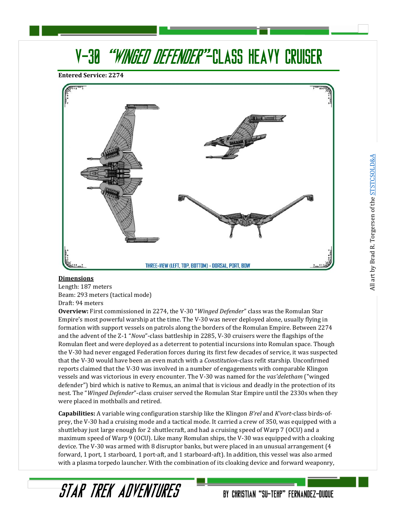# *"WINGED DEFENDER"*-CLASS HEAVY CRUISER V-30

**Entered Service: 2274**



#### **Dimensions**

Length: 187 meters Beam: 293 meters (tactical mode) Draft: 94 meters

STAR TREK ADVENTURES

**Overview:** First commissioned in 2274, the V-30 "*Winged Defender*" class was the Romulan Star Empire's most powerful warship at the time. The V-30 was never deployed alone, usually flying in formation with support vessels on patrols along the borders of the Romulan Empire. Between 2274 and the advent of the Z-1 "*Nova*"-class battleship in 2285, V-30 cruisers were the flagships of the Romulan fleet and were deployed as a deterrent to potential incursions into Romulan space. Though the V-30 had never engaged Federation forces during its first few decades of service, it was suspected that the V-30 would have been an even match with a *Constitution*-class refit starship. Unconfirmed reports claimed that the V-30 was involved in a number of engagements with comparable Klingon vessels and was victorious in every encounter. The V-30 was named for the *vas'deletham* ("winged defender") bird which is native to Remus, an animal that is vicious and deadly in the protection of its nest. The "*Winged Defender*"-class cruiser served the Romulan Star Empire until the 2330s when they were placed in mothballs and retired.

**Capabilities:** A variable wing configuration starship like the Klingon *B'rel* and *K'vort*-class birds-ofprey, the V-30 had a cruising mode and a tactical mode. It carried a crew of 350, was equipped with a shuttlebay just large enough for 2 shuttlecraft, and had a cruising speed of Warp 7 (OCU) and a maximum speed of Warp 9 (OCU). Like many Romulan ships, the V-30 was equipped with a cloaking device. The V-30 was armed with 8 disruptor banks, but were placed in an unusual arrangement (4 forward, 1 port, 1 starboard, 1 port-aft, and 1 starboard-aft). In addition, this vessel was also armed with a plasma torpedo launcher. With the combination of its cloaking device and forward weaponry,

BY CHRISTIAN "SU-TEHP" FERNANDEZ-DUQUE